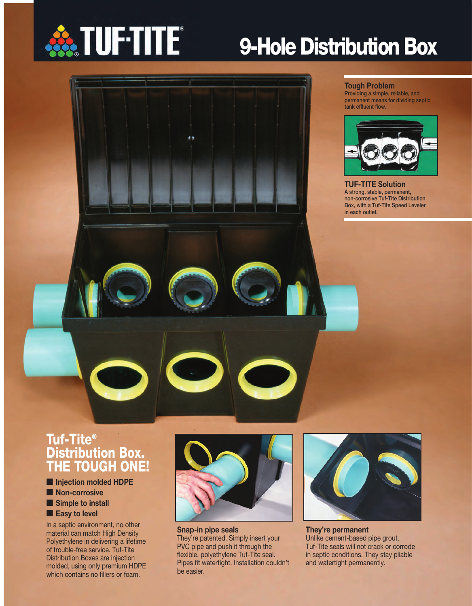

# **9-Hole Distribution Box**

#### **Tough Problem**

**Providing a simple, reliable, and permanent means for dividing septic tank effluent flow.**



**TUF-TITE Solution A strong, stable, permanent, non-corrosive Tuf-Tite Distribution Box, with a Tuf-Tite Speed Leveler in each outlet.**

### **Tuf-Tite® Distribution Box. THE TOUGH ONE!**

- **Injection molded HDPE**
- **Non-corrosive**
- **Simple to install**
- **Easy to level**

In a septic environment, no other material can match High Density Polyethylene in delivering a lifetime of trouble-free service. Tuf-Tite Distribution Boxes are injection molded, using only premium HDPE which contains no fillers or foam.



**Snap-in pipe seals** They're patented. Simply insert your PVC pipe and push it through the flexible, polyethylene Tuf-Tite seal. Pipes fit watertight. Installation couldn't be easier.



**They're permanent** Unlike cement-based pipe grout, Tuf-Tite seals will not crack or corrode in septic conditions. They stay pliable and watertight permanently.